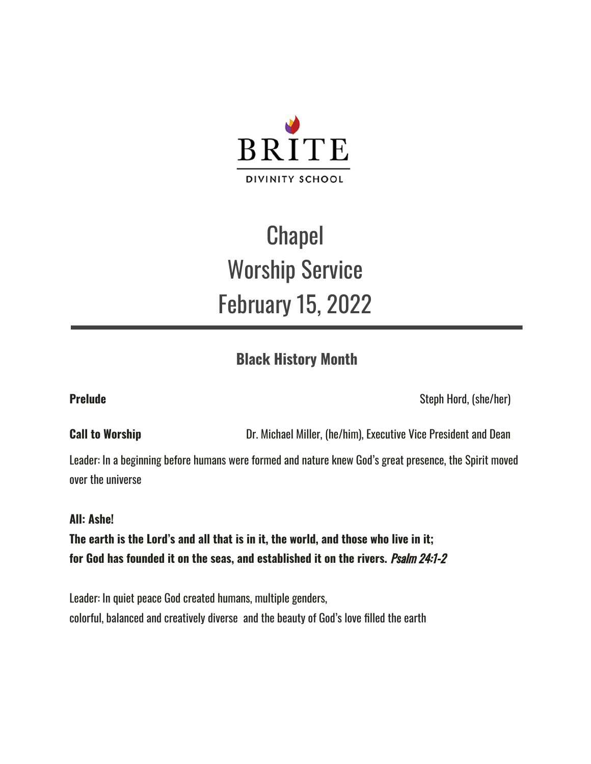

# **Chapel** Worship Service February 15, 2022

## **Black History Month**

**Prelude** Steph Hord, (she/her)

**Call to Worship Call to Worship** Dr. Michael Miller, (he/him), Executive Vice President and Dean

Leader: In a beginning before humans were formed and nature knew God's great presence, the Spirit moved over the universe

### **All: Ashe!**

**The earth is the Lord's and all that is in it, the world, and those who live in it; for God has founded it on the seas, and established it on the rivers.** Psalm 24:1-2

Leader: In quiet peace God created humans, multiple genders, colorful, balanced and creatively diverse and the beauty of God's love filled the earth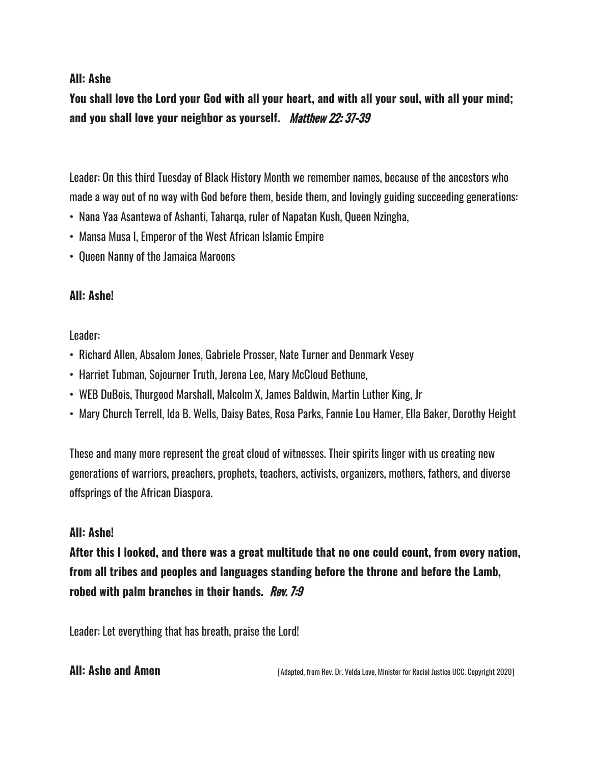### **All: Ashe**

You shall love the Lord your God with all your heart, and with all your soul, with all your mind; **and you shall love your neighbor as yourself.** Matthew 22: 37-39

Leader: On this third Tuesday of Black History Month we remember names, because of the ancestors who made a way out of no way with God before them, beside them, and lovingly guiding succeeding generations:

- Nana Yaa Asantewa of Ashanti, Taharqa, ruler of Napatan Kush, Queen Nzingha,
- Mansa Musa I, Emperor of the West African Islamic Empire
- Queen Nanny of the Jamaica Maroons

### **All: Ashe!**

Leader:

- Richard Allen, Absalom Jones, Gabriele Prosser, Nate Turner and Denmark Vesey
- Harriet Tubman, Sojourner Truth, Jerena Lee, Mary McCloud Bethune,
- WEB DuBois, Thurgood Marshall, Malcolm X, James Baldwin, Martin Luther King, Jr
- Mary Church Terrell, Ida B. Wells, Daisy Bates, Rosa Parks, Fannie Lou Hamer, Ella Baker, Dorothy Height

These and many more represent the great cloud of witnesses. Their spirits linger with us creating new generations of warriors, preachers, prophets, teachers, activists, organizers, mothers, fathers, and diverse offsprings of the African Diaspora.

### **All: Ashe!**

**After this I looked, and there was a great multitude that no one could count, from every nation, from all tribes and peoples and languages standing before the throne and before the Lamb, robed with palm branches in their hands.** Rev. 7:9

Leader: Let everything that has breath, praise the Lord!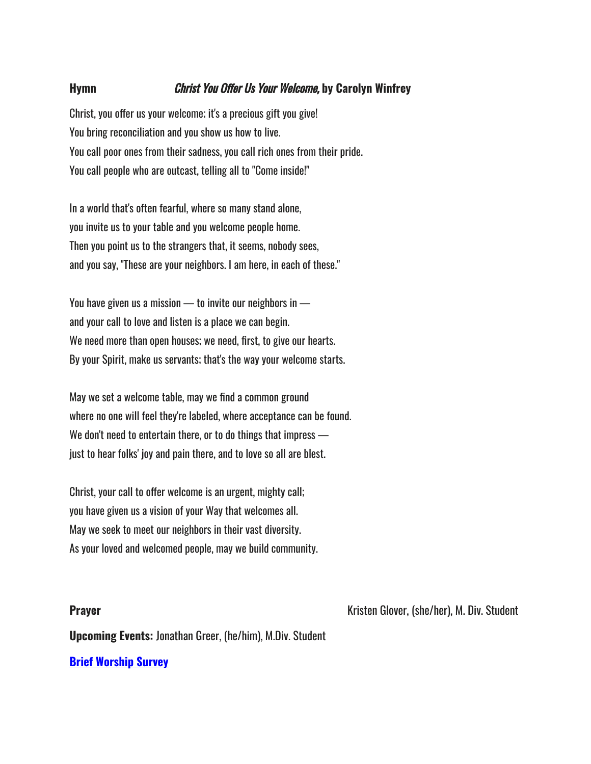#### **Hymn** Christ You Offer Us Your Welcome, **by Carolyn Winfrey**

Christ, you offer us your welcome; it's a precious gift you give! You bring reconciliation and you show us how to live. You call poor ones from their sadness, you call rich ones from their pride. You call people who are outcast, telling all to "Come inside!"

In a world that's often fearful, where so many stand alone, you invite us to your table and you welcome people home. Then you point us to the strangers that, it seems, nobody sees, and you say, "These are your neighbors. I am here, in each of these."

You have given us a mission  $-$  to invite our neighbors in  $$ and your call to love and listen is a place we can begin. We need more than open houses; we need, first, to give our hearts. By your Spirit, make us servants; that's the way your welcome starts.

May we set a welcome table, may we find a common ground where no one will feel they're labeled, where acceptance can be found. We don't need to entertain there, or to do things that impress just to hear folks' joy and pain there, and to love so all are blest.

Christ, your call to offer welcome is an urgent, mighty call; you have given us a vision of your Way that welcomes all. May we seek to meet our neighbors in their vast diversity. As your loved and welcomed people, may we build community.

**Prayer Prayer Example 20 At 20 At 20 At 20 At 20 At 20 At 20 At 20 At 20 At 20 At 20 At 20 At 20 At 20 At 20 At 20 At 20 At 20 At 20 At 20 At 20 At 20 At 20 At 20 At 20 At 20 At 20 At 20 At 20 At 20 At 20 At 20 At 20** 

**Upcoming Events:** Jonathan Greer, (he/him), M.Div. Student

**Brief [Worship](https://forms.office.com/r/PbzCWwX6p6) Survey**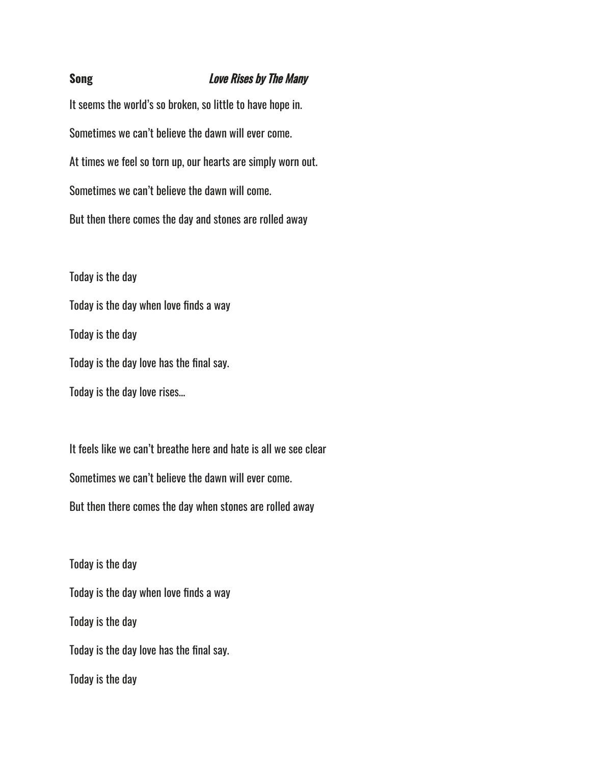#### **Song** Love Rises by The Many

It seems the world's so broken, so little to have hope in. Sometimes we can't believe the dawn will ever come. At times we feel so torn up, our hearts are simply worn out. Sometimes we can't believe the dawn will come. But then there comes the day and stones are rolled away

Today is the day Today is the day when love finds a way Today is the day Today is the day love has the final say. Today is the day love rises…

It feels like we can't breathe here and hate is all we see clear Sometimes we can't believe the dawn will ever come. But then there comes the day when stones are rolled away

Today is the day Today is the day when love finds a way Today is the day Today is the day love has the final say. Today is the day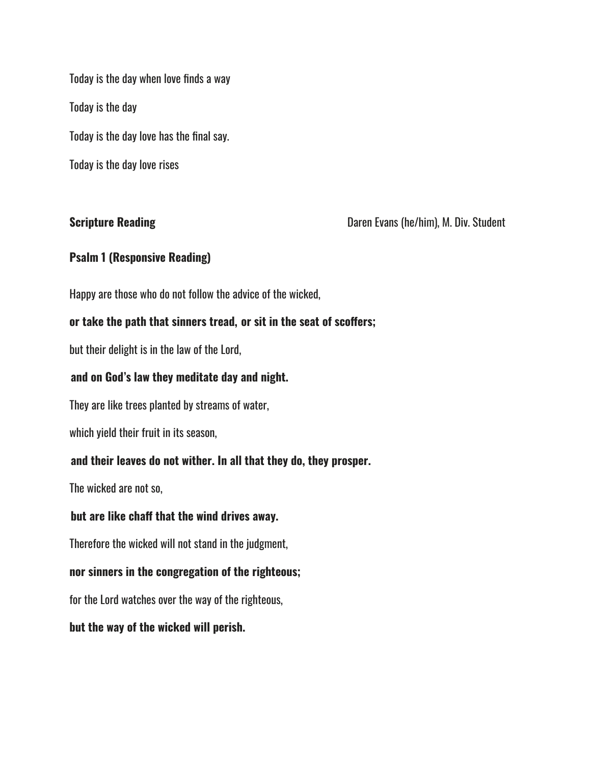Today is the day when love finds a way Today is the day Today is the day love has the final say. Today is the day love rises

**Scripture Reading Community Community Community Community Community Community Community Community Community Community Community Community Community Community Community Community Community Community Community Community C** 

### **Psalm 1 (Responsive Reading)**

Happy are those who do not follow the advice of the wicked,

#### **or take the path that sinners tread, or sit in the seat of scoffers;**

but their delight is in the law of the Lord,

#### **and on God's law they meditate day and night.**

They are like trees planted by streams of water,

which yield their fruit in its season,

### **and their leaves do not wither. In all that they do, they prosper.**

The wicked are not so,

#### **but are like chaff that the wind drives away.**

Therefore the wicked will not stand in the judgment,

### **nor sinners in the congregation of the righteous;**

for the Lord watches over the way of the righteous,

#### **but the way of the wicked will perish.**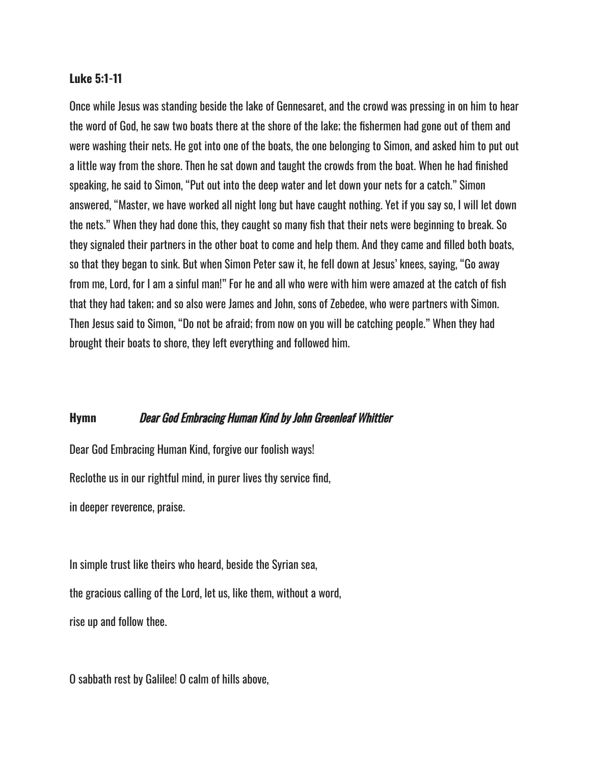#### **Luke 5:1-11**

Once while Jesus was standing beside the lake of Gennesaret, and the crowd was pressing in on him to hear the word of God, he saw two boats there at the shore of the lake; the fishermen had gone out of them and were washing their nets. He got into one of the boats, the one belonging to Simon, and asked him to put out a little way from the shore. Then he sat down and taught the crowds from the boat. When he had finished speaking, he said to Simon, "Put out into the deep water and let down your nets for a catch." Simon answered, "Master, we have worked all night long but have caught nothing. Yet if you say so, I will let down the nets." When they had done this, they caught so many fish that their nets were beginning to break. So they signaled their partners in the other boat to come and help them. And they came and filled both boats, so that they began to sink. But when Simon Peter saw it, he fell down at Jesus' knees, saying, "Go away from me, Lord, for I am a sinful man!" For he and all who were with him were amazed at the catch of fish that they had taken; and so also were James and John, sons of Zebedee, who were partners with Simon. Then Jesus said to Simon, "Do not be afraid; from now on you will be catching people." When they had brought their boats to shore, they left everything and followed him.

#### **Hymn** Dear God Embracing Human Kind by John Greenleaf Whittier

Dear God Embracing Human Kind, forgive our foolish ways!

Reclothe us in our rightful mind, in purer lives thy service find,

in deeper reverence, praise.

In simple trust like theirs who heard, beside the Syrian sea, the gracious calling of the Lord, let us, like them, without a word, rise up and follow thee.

O sabbath rest by Galilee! O calm of hills above,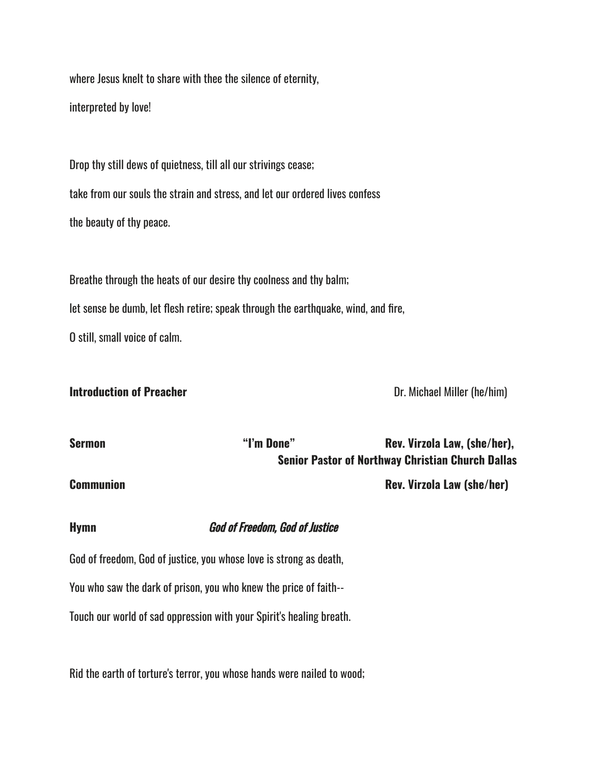where Jesus knelt to share with thee the silence of eternity,

interpreted by love!

Drop thy still dews of quietness, till all our strivings cease; take from our souls the strain and stress, and let our ordered lives confess the beauty of thy peace.

Breathe through the heats of our desire thy coolness and thy balm; let sense be dumb, let flesh retire; speak through the earthquake, wind, and fire, O still, small voice of calm.

#### **Introduction of Preacher Contract Contract Contract Contract Contract Contract Contract Dr. Michael Miller (he/him)**

| Sermon           | "I'm Done" | Rev. Virzola Law, (she/her),                             |
|------------------|------------|----------------------------------------------------------|
|                  |            | <b>Senior Pastor of Northway Christian Church Dallas</b> |
| <b>Communion</b> |            | <b>Rev. Virzola Law (she/her)</b>                        |

**Hymn** God of Freedom, God of Justice

God of freedom, God of justice, you whose love is strong as death, You who saw the dark of prison, you who knew the price of faith-- Touch our world of sad oppression with your Spirit's healing breath.

Rid the earth of torture's terror, you whose hands were nailed to wood;